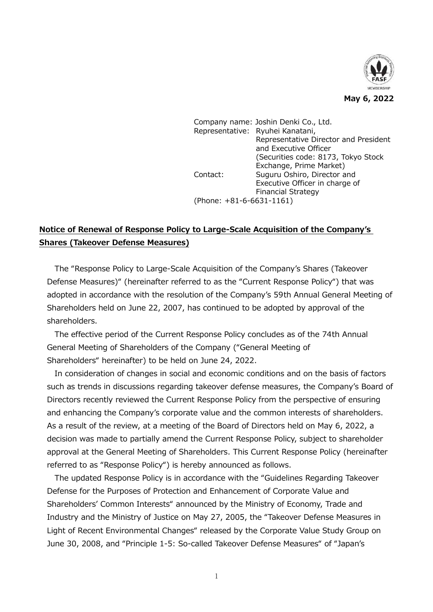

Company name: Joshin Denki Co., Ltd. Representative: Ryuhei Kanatani, Representative Director and President and Executive Officer (Securities code: 8173, Tokyo Stock Exchange, Prime Market) Contact: Suguru Oshiro, Director and Executive Officer in charge of Financial Strategy (Phone: +81-6-6631-1161)

# **Notice of Renewal of Response Policy to Large-Scale Acquisition of the Company's Shares (Takeover Defense Measures)**

The "Response Policy to Large-Scale Acquisition of the Company's Shares (Takeover Defense Measures)" (hereinafter referred to as the "Current Response Policy") that was adopted in accordance with the resolution of the Company's 59th Annual General Meeting of Shareholders held on June 22, 2007, has continued to be adopted by approval of the shareholders.

The effective period of the Current Response Policy concludes as of the 74th Annual General Meeting of Shareholders of the Company ("General Meeting of Shareholders" hereinafter) to be held on June 24, 2022.

In consideration of changes in social and economic conditions and on the basis of factors such as trends in discussions regarding takeover defense measures, the Company's Board of Directors recently reviewed the Current Response Policy from the perspective of ensuring and enhancing the Company's corporate value and the common interests of shareholders. As a result of the review, at a meeting of the Board of Directors held on May 6, 2022, a decision was made to partially amend the Current Response Policy, subject to shareholder approval at the General Meeting of Shareholders. This Current Response Policy (hereinafter referred to as "Response Policy") is hereby announced as follows.

The updated Response Policy is in accordance with the "Guidelines Regarding Takeover Defense for the Purposes of Protection and Enhancement of Corporate Value and Shareholders' Common Interests" announced by the Ministry of Economy, Trade and Industry and the Ministry of Justice on May 27, 2005, the "Takeover Defense Measures in Light of Recent Environmental Changes" released by the Corporate Value Study Group on June 30, 2008, and "Principle 1-5: So-called Takeover Defense Measures" of "Japan's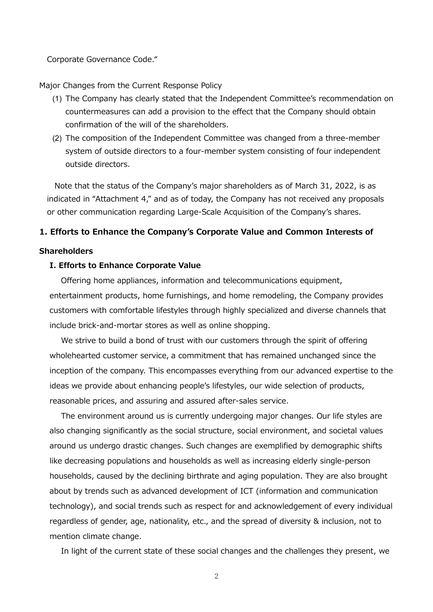Corporate Governance Code."

Major Changes from the Current Response Policy

- (1) The Company has clearly stated that the Independent Committee's recommendation on countermeasures can add a provision to the effect that the Company should obtain confirmation of the will of the shareholders.
- (2) The composition of the Independent Committee was changed from a three-member system of outside directors to a four-member system consisting of four independent outside directors.

Note that the status of the Company's major shareholders as of March 31, 2022, is as indicated in "Attachment 4," and as of today, the Company has not received any proposals or other communication regarding Large-Scale Acquisition of the Company's shares.

### **1. Efforts to Enhance the Company's Corporate Value and Common Interests of**

### **Shareholders**

### **I. Efforts to Enhance Corporate Value**

Offering home appliances, information and telecommunications equipment, entertainment products, home furnishings, and home remodeling, the Company provides customers with comfortable lifestyles through highly specialized and diverse channels that include brick-and-mortar stores as well as online shopping.

We strive to build a bond of trust with our customers through the spirit of offering wholehearted customer service, a commitment that has remained unchanged since the inception of the company. This encompasses everything from our advanced expertise to the ideas we provide about enhancing people's lifestyles, our wide selection of products, reasonable prices, and assuring and assured after-sales service.

The environment around us is currently undergoing major changes. Our life styles are also changing significantly as the social structure, social environment, and societal values around us undergo drastic changes. Such changes are exemplified by demographic shifts like decreasing populations and households as well as increasing elderly single-person households, caused by the declining birthrate and aging population. They are also brought about by trends such as advanced development of ICT (information and communication technology), and social trends such as respect for and acknowledgement of every individual regardless of gender, age, nationality, etc., and the spread of diversity & inclusion, not to mention climate change.

In light of the current state of these social changes and the challenges they present, we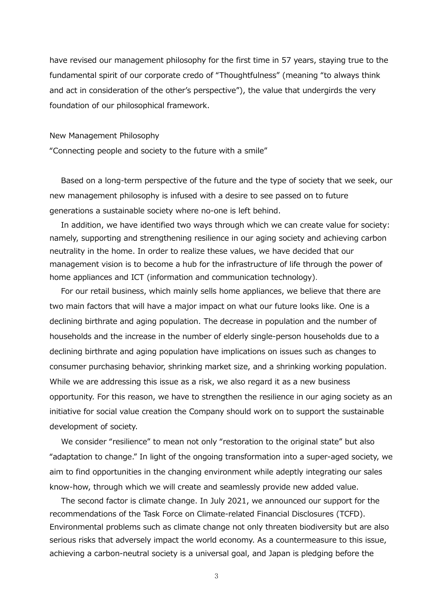have revised our management philosophy for the first time in 57 years, staying true to the fundamental spirit of our corporate credo of "Thoughtfulness" (meaning "to always think and act in consideration of the other's perspective"), the value that undergirds the very foundation of our philosophical framework.

### New Management Philosophy

"Connecting people and society to the future with a smile"

Based on a long-term perspective of the future and the type of society that we seek, our new management philosophy is infused with a desire to see passed on to future generations a sustainable society where no-one is left behind.

In addition, we have identified two ways through which we can create value for society: namely, supporting and strengthening resilience in our aging society and achieving carbon neutrality in the home. In order to realize these values, we have decided that our management vision is to become a hub for the infrastructure of life through the power of home appliances and ICT (information and communication technology).

For our retail business, which mainly sells home appliances, we believe that there are two main factors that will have a major impact on what our future looks like. One is a declining birthrate and aging population. The decrease in population and the number of households and the increase in the number of elderly single-person households due to a declining birthrate and aging population have implications on issues such as changes to consumer purchasing behavior, shrinking market size, and a shrinking working population. While we are addressing this issue as a risk, we also regard it as a new business opportunity. For this reason, we have to strengthen the resilience in our aging society as an initiative for social value creation the Company should work on to support the sustainable development of society.

We consider "resilience" to mean not only "restoration to the original state" but also "adaptation to change." In light of the ongoing transformation into a super-aged society, we aim to find opportunities in the changing environment while adeptly integrating our sales know-how, through which we will create and seamlessly provide new added value.

The second factor is climate change. In July 2021, we announced our support for the recommendations of the Task Force on Climate-related Financial Disclosures (TCFD). Environmental problems such as climate change not only threaten biodiversity but are also serious risks that adversely impact the world economy. As a countermeasure to this issue, achieving a carbon-neutral society is a universal goal, and Japan is pledging before the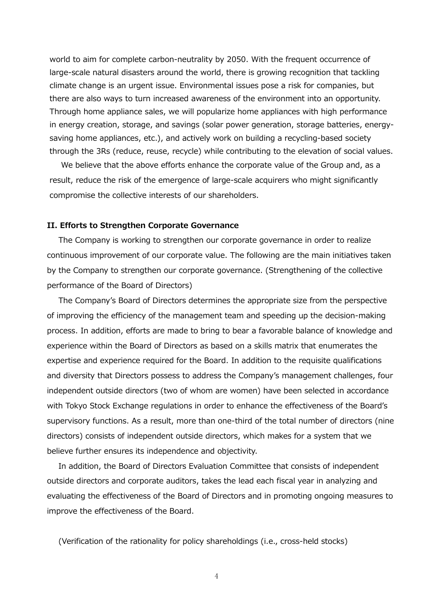world to aim for complete carbon-neutrality by 2050. With the frequent occurrence of large-scale natural disasters around the world, there is growing recognition that tackling climate change is an urgent issue. Environmental issues pose a risk for companies, but there are also ways to turn increased awareness of the environment into an opportunity. Through home appliance sales, we will popularize home appliances with high performance in energy creation, storage, and savings (solar power generation, storage batteries, energysaving home appliances, etc.), and actively work on building a recycling-based society through the 3Rs (reduce, reuse, recycle) while contributing to the elevation of social values.

We believe that the above efforts enhance the corporate value of the Group and, as a result, reduce the risk of the emergence of large-scale acquirers who might significantly compromise the collective interests of our shareholders.

### **II. Efforts to Strengthen Corporate Governance**

The Company is working to strengthen our corporate governance in order to realize continuous improvement of our corporate value. The following are the main initiatives taken by the Company to strengthen our corporate governance. (Strengthening of the collective performance of the Board of Directors)

The Company's Board of Directors determines the appropriate size from the perspective of improving the efficiency of the management team and speeding up the decision-making process. In addition, efforts are made to bring to bear a favorable balance of knowledge and experience within the Board of Directors as based on a skills matrix that enumerates the expertise and experience required for the Board. In addition to the requisite qualifications and diversity that Directors possess to address the Company's management challenges, four independent outside directors (two of whom are women) have been selected in accordance with Tokyo Stock Exchange regulations in order to enhance the effectiveness of the Board's supervisory functions. As a result, more than one-third of the total number of directors (nine directors) consists of independent outside directors, which makes for a system that we believe further ensures its independence and objectivity.

In addition, the Board of Directors Evaluation Committee that consists of independent outside directors and corporate auditors, takes the lead each fiscal year in analyzing and evaluating the effectiveness of the Board of Directors and in promoting ongoing measures to improve the effectiveness of the Board.

(Verification of the rationality for policy shareholdings (i.e., cross-held stocks)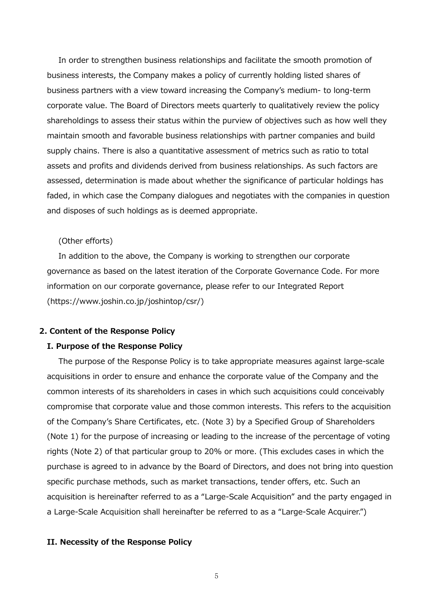In order to strengthen business relationships and facilitate the smooth promotion of business interests, the Company makes a policy of currently holding listed shares of business partners with a view toward increasing the Company's medium- to long-term corporate value. The Board of Directors meets quarterly to qualitatively review the policy shareholdings to assess their status within the purview of objectives such as how well they maintain smooth and favorable business relationships with partner companies and build supply chains. There is also a quantitative assessment of metrics such as ratio to total assets and profits and dividends derived from business relationships. As such factors are assessed, determination is made about whether the significance of particular holdings has faded, in which case the Company dialogues and negotiates with the companies in question and disposes of such holdings as is deemed appropriate.

### (Other efforts)

In addition to the above, the Company is working to strengthen our corporate governance as based on the latest iteration of the Corporate Governance Code. For more information on our corporate governance, please refer to our Integrated Report [\(https://www.joshin.co.jp/joshintop/csr/\)](https://www.joshin.co.jp/joshintop/csr/)

### **2. Content of the Response Policy**

### **I. Purpose of the Response Policy**

The purpose of the Response Policy is to take appropriate measures against large-scale acquisitions in order to ensure and enhance the corporate value of the Company and the common interests of its shareholders in cases in which such acquisitions could conceivably compromise that corporate value and those common interests. This refers to the acquisition of the Company's Share Certificates, etc. (Note 3) by a Specified Group of Shareholders (Note 1) for the purpose of increasing or leading to the increase of the percentage of voting rights (Note 2) of that particular group to 20% or more. (This excludes cases in which the purchase is agreed to in advance by the Board of Directors, and does not bring into question specific purchase methods, such as market transactions, tender offers, etc. Such an acquisition is hereinafter referred to as a "Large-Scale Acquisition" and the party engaged in a Large-Scale Acquisition shall hereinafter be referred to as a "Large-Scale Acquirer.")

### **II. Necessity of the Response Policy**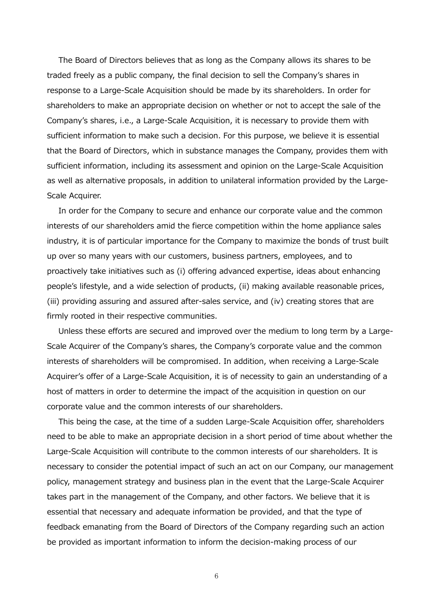The Board of Directors believes that as long as the Company allows its shares to be traded freely as a public company, the final decision to sell the Company's shares in response to a Large-Scale Acquisition should be made by its shareholders. In order for shareholders to make an appropriate decision on whether or not to accept the sale of the Company's shares, i.e., a Large-Scale Acquisition, it is necessary to provide them with sufficient information to make such a decision. For this purpose, we believe it is essential that the Board of Directors, which in substance manages the Company, provides them with sufficient information, including its assessment and opinion on the Large-Scale Acquisition as well as alternative proposals, in addition to unilateral information provided by the Large-Scale Acquirer.

In order for the Company to secure and enhance our corporate value and the common interests of our shareholders amid the fierce competition within the home appliance sales industry, it is of particular importance for the Company to maximize the bonds of trust built up over so many years with our customers, business partners, employees, and to proactively take initiatives such as (i) offering advanced expertise, ideas about enhancing people's lifestyle, and a wide selection of products, (ii) making available reasonable prices, (iii) providing assuring and assured after-sales service, and (iv) creating stores that are firmly rooted in their respective communities.

Unless these efforts are secured and improved over the medium to long term by a Large-Scale Acquirer of the Company's shares, the Company's corporate value and the common interests of shareholders will be compromised. In addition, when receiving a Large-Scale Acquirer's offer of a Large-Scale Acquisition, it is of necessity to gain an understanding of a host of matters in order to determine the impact of the acquisition in question on our corporate value and the common interests of our shareholders.

This being the case, at the time of a sudden Large-Scale Acquisition offer, shareholders need to be able to make an appropriate decision in a short period of time about whether the Large-Scale Acquisition will contribute to the common interests of our shareholders. It is necessary to consider the potential impact of such an act on our Company, our management policy, management strategy and business plan in the event that the Large-Scale Acquirer takes part in the management of the Company, and other factors. We believe that it is essential that necessary and adequate information be provided, and that the type of feedback emanating from the Board of Directors of the Company regarding such an action be provided as important information to inform the decision-making process of our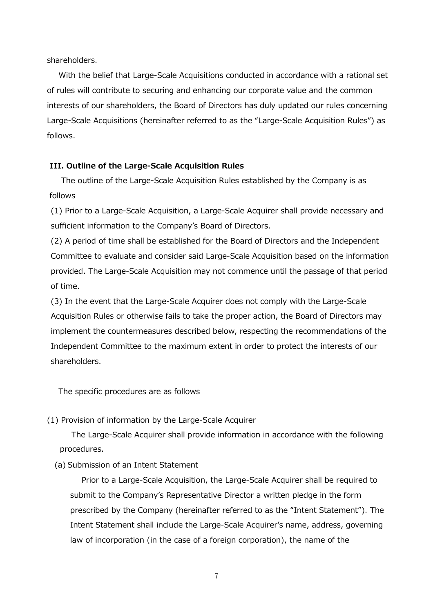shareholders.

With the belief that Large-Scale Acquisitions conducted in accordance with a rational set of rules will contribute to securing and enhancing our corporate value and the common interests of our shareholders, the Board of Directors has duly updated our rules concerning Large-Scale Acquisitions (hereinafter referred to as the "Large-Scale Acquisition Rules") as follows.

## **III. Outline of the Large-Scale Acquisition Rules**

The outline of the Large-Scale Acquisition Rules established by the Company is as follows

(1) Prior to a Large-Scale Acquisition, a Large-Scale Acquirer shall provide necessary and sufficient information to the Company's Board of Directors.

(2) A period of time shall be established for the Board of Directors and the Independent Committee to evaluate and consider said Large-Scale Acquisition based on the information provided. The Large-Scale Acquisition may not commence until the passage of that period of time.

(3) In the event that the Large-Scale Acquirer does not comply with the Large-Scale Acquisition Rules or otherwise fails to take the proper action, the Board of Directors may implement the countermeasures described below, respecting the recommendations of the Independent Committee to the maximum extent in order to protect the interests of our shareholders.

The specific procedures are as follows

(1) Provision of information by the Large-Scale Acquirer

The Large-Scale Acquirer shall provide information in accordance with the following procedures.

(a) Submission of an Intent Statement

Prior to a Large-Scale Acquisition, the Large-Scale Acquirer shall be required to submit to the Company's Representative Director a written pledge in the form prescribed by the Company (hereinafter referred to as the "Intent Statement"). The Intent Statement shall include the Large-Scale Acquirer's name, address, governing law of incorporation (in the case of a foreign corporation), the name of the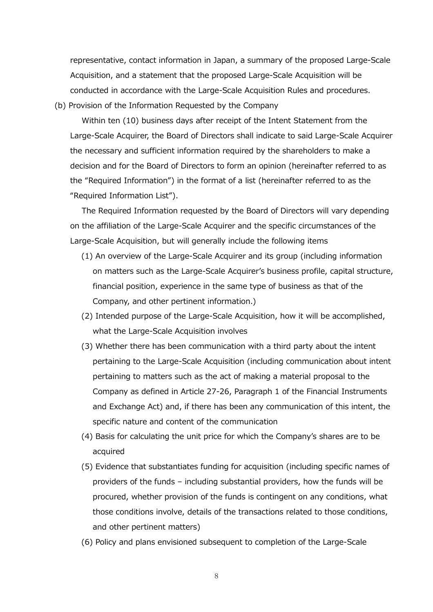representative, contact information in Japan, a summary of the proposed Large-Scale Acquisition, and a statement that the proposed Large-Scale Acquisition will be conducted in accordance with the Large-Scale Acquisition Rules and procedures.

(b) Provision of the Information Requested by the Company

Within ten (10) business days after receipt of the Intent Statement from the Large-Scale Acquirer, the Board of Directors shall indicate to said Large-Scale Acquirer the necessary and sufficient information required by the shareholders to make a decision and for the Board of Directors to form an opinion (hereinafter referred to as the "Required Information") in the format of a list (hereinafter referred to as the "Required Information List").

The Required Information requested by the Board of Directors will vary depending on the affiliation of the Large-Scale Acquirer and the specific circumstances of the Large-Scale Acquisition, but will generally include the following items

- (1) An overview of the Large-Scale Acquirer and its group (including information on matters such as the Large-Scale Acquirer's business profile, capital structure, financial position, experience in the same type of business as that of the Company, and other pertinent information.)
- (2) Intended purpose of the Large-Scale Acquisition, how it will be accomplished, what the Large-Scale Acquisition involves
- (3) Whether there has been communication with a third party about the intent pertaining to the Large-Scale Acquisition (including communication about intent pertaining to matters such as the act of making a material proposal to the Company as defined in Article 27-26, Paragraph 1 of the Financial Instruments and Exchange Act) and, if there has been any communication of this intent, the specific nature and content of the communication
- (4) Basis for calculating the unit price for which the Company's shares are to be acquired
- (5) Evidence that substantiates funding for acquisition (including specific names of providers of the funds – including substantial providers, how the funds will be procured, whether provision of the funds is contingent on any conditions, what those conditions involve, details of the transactions related to those conditions, and other pertinent matters)
- (6) Policy and plans envisioned subsequent to completion of the Large-Scale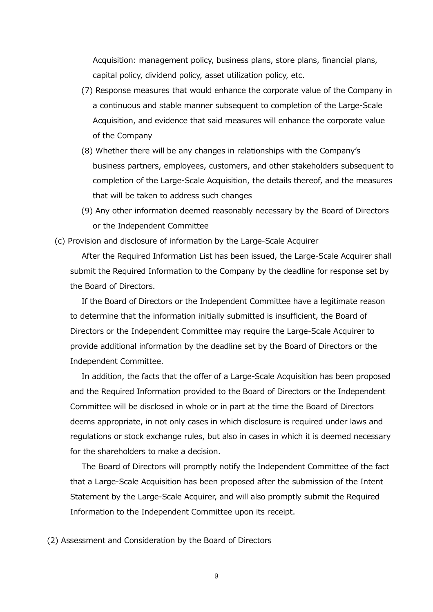Acquisition: management policy, business plans, store plans, financial plans, capital policy, dividend policy, asset utilization policy, etc.

- (7) Response measures that would enhance the corporate value of the Company in a continuous and stable manner subsequent to completion of the Large-Scale Acquisition, and evidence that said measures will enhance the corporate value of the Company
- (8) Whether there will be any changes in relationships with the Company's business partners, employees, customers, and other stakeholders subsequent to completion of the Large-Scale Acquisition, the details thereof, and the measures that will be taken to address such changes
- (9) Any other information deemed reasonably necessary by the Board of Directors or the Independent Committee

(c) Provision and disclosure of information by the Large-Scale Acquirer

After the Required Information List has been issued, the Large-Scale Acquirer shall submit the Required Information to the Company by the deadline for response set by the Board of Directors.

If the Board of Directors or the Independent Committee have a legitimate reason to determine that the information initially submitted is insufficient, the Board of Directors or the Independent Committee may require the Large-Scale Acquirer to provide additional information by the deadline set by the Board of Directors or the Independent Committee.

In addition, the facts that the offer of a Large-Scale Acquisition has been proposed and the Required Information provided to the Board of Directors or the Independent Committee will be disclosed in whole or in part at the time the Board of Directors deems appropriate, in not only cases in which disclosure is required under laws and regulations or stock exchange rules, but also in cases in which it is deemed necessary for the shareholders to make a decision.

The Board of Directors will promptly notify the Independent Committee of the fact that a Large-Scale Acquisition has been proposed after the submission of the Intent Statement by the Large-Scale Acquirer, and will also promptly submit the Required Information to the Independent Committee upon its receipt.

(2) Assessment and Consideration by the Board of Directors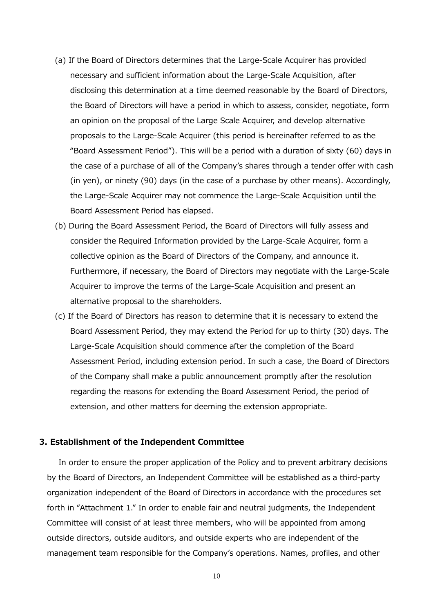- (a) If the Board of Directors determines that the Large-Scale Acquirer has provided necessary and sufficient information about the Large-Scale Acquisition, after disclosing this determination at a time deemed reasonable by the Board of Directors, the Board of Directors will have a period in which to assess, consider, negotiate, form an opinion on the proposal of the Large Scale Acquirer, and develop alternative proposals to the Large-Scale Acquirer (this period is hereinafter referred to as the "Board Assessment Period"). This will be a period with a duration of sixty (60) days in the case of a purchase of all of the Company's shares through a tender offer with cash (in yen), or ninety (90) days (in the case of a purchase by other means). Accordingly, the Large-Scale Acquirer may not commence the Large-Scale Acquisition until the Board Assessment Period has elapsed.
- (b) During the Board Assessment Period, the Board of Directors will fully assess and consider the Required Information provided by the Large-Scale Acquirer, form a collective opinion as the Board of Directors of the Company, and announce it. Furthermore, if necessary, the Board of Directors may negotiate with the Large-Scale Acquirer to improve the terms of the Large-Scale Acquisition and present an alternative proposal to the shareholders.
- (c) If the Board of Directors has reason to determine that it is necessary to extend the Board Assessment Period, they may extend the Period for up to thirty (30) days. The Large-Scale Acquisition should commence after the completion of the Board Assessment Period, including extension period. In such a case, the Board of Directors of the Company shall make a public announcement promptly after the resolution regarding the reasons for extending the Board Assessment Period, the period of extension, and other matters for deeming the extension appropriate.

### **3. Establishment of the Independent Committee**

In order to ensure the proper application of the Policy and to prevent arbitrary decisions by the Board of Directors, an Independent Committee will be established as a third-party organization independent of the Board of Directors in accordance with the procedures set forth in "Attachment 1." In order to enable fair and neutral judgments, the Independent Committee will consist of at least three members, who will be appointed from among outside directors, outside auditors, and outside experts who are independent of the management team responsible for the Company's operations. Names, profiles, and other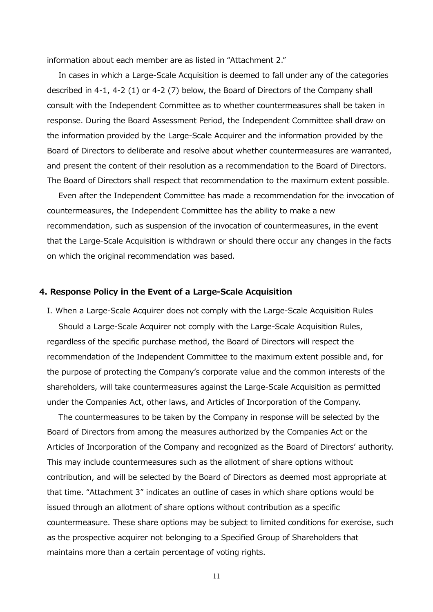information about each member are as listed in "Attachment 2."

In cases in which a Large-Scale Acquisition is deemed to fall under any of the categories described in 4-1, 4-2 (1) or 4-2 (7) below, the Board of Directors of the Company shall consult with the Independent Committee as to whether countermeasures shall be taken in response. During the Board Assessment Period, the Independent Committee shall draw on the information provided by the Large-Scale Acquirer and the information provided by the Board of Directors to deliberate and resolve about whether countermeasures are warranted, and present the content of their resolution as a recommendation to the Board of Directors. The Board of Directors shall respect that recommendation to the maximum extent possible.

Even after the Independent Committee has made a recommendation for the invocation of countermeasures, the Independent Committee has the ability to make a new recommendation, such as suspension of the invocation of countermeasures, in the event that the Large-Scale Acquisition is withdrawn or should there occur any changes in the facts on which the original recommendation was based.

### **4. Response Policy in the Event of a Large-Scale Acquisition**

I. When a Large-Scale Acquirer does not comply with the Large-Scale Acquisition Rules Should a Large-Scale Acquirer not comply with the Large-Scale Acquisition Rules, regardless of the specific purchase method, the Board of Directors will respect the recommendation of the Independent Committee to the maximum extent possible and, for the purpose of protecting the Company's corporate value and the common interests of the shareholders, will take countermeasures against the Large-Scale Acquisition as permitted under the Companies Act, other laws, and Articles of Incorporation of the Company.

The countermeasures to be taken by the Company in response will be selected by the Board of Directors from among the measures authorized by the Companies Act or the Articles of Incorporation of the Company and recognized as the Board of Directors' authority. This may include countermeasures such as the allotment of share options without contribution, and will be selected by the Board of Directors as deemed most appropriate at that time. "Attachment 3" indicates an outline of cases in which share options would be issued through an allotment of share options without contribution as a specific countermeasure. These share options may be subject to limited conditions for exercise, such as the prospective acquirer not belonging to a Specified Group of Shareholders that maintains more than a certain percentage of voting rights.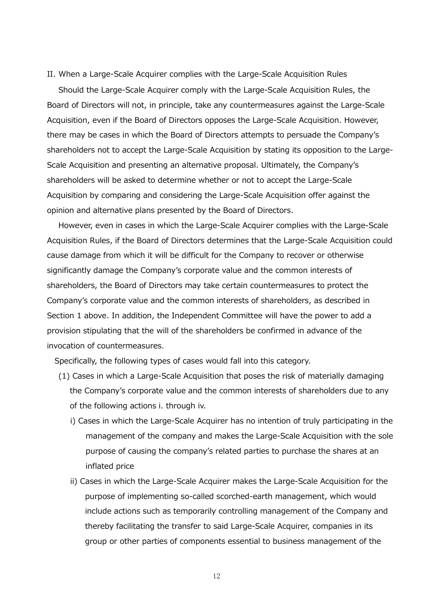II. When a Large-Scale Acquirer complies with the Large-Scale Acquisition Rules

Should the Large-Scale Acquirer comply with the Large-Scale Acquisition Rules, the Board of Directors will not, in principle, take any countermeasures against the Large-Scale Acquisition, even if the Board of Directors opposes the Large-Scale Acquisition. However, there may be cases in which the Board of Directors attempts to persuade the Company's shareholders not to accept the Large-Scale Acquisition by stating its opposition to the Large-Scale Acquisition and presenting an alternative proposal. Ultimately, the Company's shareholders will be asked to determine whether or not to accept the Large-Scale Acquisition by comparing and considering the Large-Scale Acquisition offer against the opinion and alternative plans presented by the Board of Directors.

However, even in cases in which the Large-Scale Acquirer complies with the Large-Scale Acquisition Rules, if the Board of Directors determines that the Large-Scale Acquisition could cause damage from which it will be difficult for the Company to recover or otherwise significantly damage the Company's corporate value and the common interests of shareholders, the Board of Directors may take certain countermeasures to protect the Company's corporate value and the common interests of shareholders, as described in Section 1 above. In addition, the Independent Committee will have the power to add a provision stipulating that the will of the shareholders be confirmed in advance of the invocation of countermeasures.

Specifically, the following types of cases would fall into this category.

- (1) Cases in which a Large-Scale Acquisition that poses the risk of materially damaging the Company's corporate value and the common interests of shareholders due to any of the following actions i. through iv.
	- i) Cases in which the Large-Scale Acquirer has no intention of truly participating in the management of the company and makes the Large-Scale Acquisition with the sole purpose of causing the company's related parties to purchase the shares at an inflated price
	- ii) Cases in which the Large-Scale Acquirer makes the Large-Scale Acquisition for the purpose of implementing so-called scorched-earth management, which would include actions such as temporarily controlling management of the Company and thereby facilitating the transfer to said Large-Scale Acquirer, companies in its group or other parties of components essential to business management of the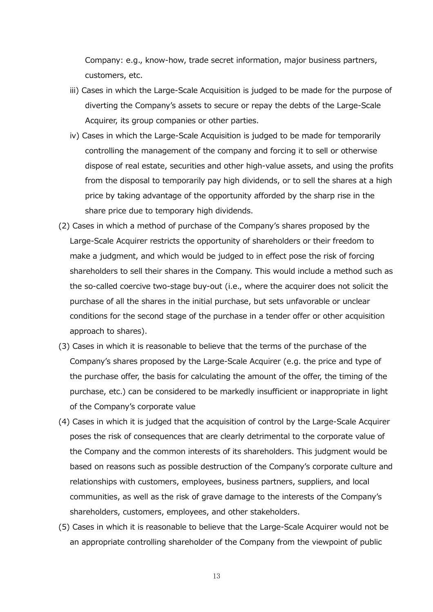Company: e.g., know-how, trade secret information, major business partners, customers, etc.

- iii) Cases in which the Large-Scale Acquisition is judged to be made for the purpose of diverting the Company's assets to secure or repay the debts of the Large-Scale Acquirer, its group companies or other parties.
- iv) Cases in which the Large-Scale Acquisition is judged to be made for temporarily controlling the management of the company and forcing it to sell or otherwise dispose of real estate, securities and other high-value assets, and using the profits from the disposal to temporarily pay high dividends, or to sell the shares at a high price by taking advantage of the opportunity afforded by the sharp rise in the share price due to temporary high dividends.
- (2) Cases in which a method of purchase of the Company's shares proposed by the Large-Scale Acquirer restricts the opportunity of shareholders or their freedom to make a judgment, and which would be judged to in effect pose the risk of forcing shareholders to sell their shares in the Company. This would include a method such as the so-called coercive two-stage buy-out (i.e., where the acquirer does not solicit the purchase of all the shares in the initial purchase, but sets unfavorable or unclear conditions for the second stage of the purchase in a tender offer or other acquisition approach to shares).
- (3) Cases in which it is reasonable to believe that the terms of the purchase of the Company's shares proposed by the Large-Scale Acquirer (e.g. the price and type of the purchase offer, the basis for calculating the amount of the offer, the timing of the purchase, etc.) can be considered to be markedly insufficient or inappropriate in light of the Company's corporate value
- (4) Cases in which it is judged that the acquisition of control by the Large-Scale Acquirer poses the risk of consequences that are clearly detrimental to the corporate value of the Company and the common interests of its shareholders. This judgment would be based on reasons such as possible destruction of the Company's corporate culture and relationships with customers, employees, business partners, suppliers, and local communities, as well as the risk of grave damage to the interests of the Company's shareholders, customers, employees, and other stakeholders.
- (5) Cases in which it is reasonable to believe that the Large-Scale Acquirer would not be an appropriate controlling shareholder of the Company from the viewpoint of public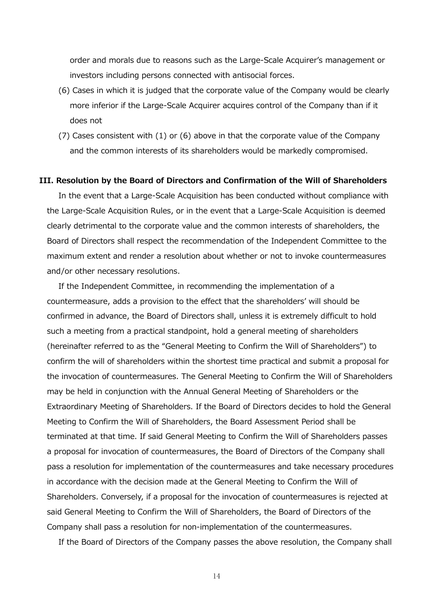order and morals due to reasons such as the Large-Scale Acquirer's management or investors including persons connected with antisocial forces.

- (6) Cases in which it is judged that the corporate value of the Company would be clearly more inferior if the Large-Scale Acquirer acquires control of the Company than if it does not
- (7) Cases consistent with (1) or (6) above in that the corporate value of the Company and the common interests of its shareholders would be markedly compromised.

### **III. Resolution by the Board of Directors and Confirmation of the Will of Shareholders**

In the event that a Large-Scale Acquisition has been conducted without compliance with the Large-Scale Acquisition Rules, or in the event that a Large-Scale Acquisition is deemed clearly detrimental to the corporate value and the common interests of shareholders, the Board of Directors shall respect the recommendation of the Independent Committee to the maximum extent and render a resolution about whether or not to invoke countermeasures and/or other necessary resolutions.

If the Independent Committee, in recommending the implementation of a countermeasure, adds a provision to the effect that the shareholders' will should be confirmed in advance, the Board of Directors shall, unless it is extremely difficult to hold such a meeting from a practical standpoint, hold a general meeting of shareholders (hereinafter referred to as the "General Meeting to Confirm the Will of Shareholders") to confirm the will of shareholders within the shortest time practical and submit a proposal for the invocation of countermeasures. The General Meeting to Confirm the Will of Shareholders may be held in conjunction with the Annual General Meeting of Shareholders or the Extraordinary Meeting of Shareholders. If the Board of Directors decides to hold the General Meeting to Confirm the Will of Shareholders, the Board Assessment Period shall be terminated at that time. If said General Meeting to Confirm the Will of Shareholders passes a proposal for invocation of countermeasures, the Board of Directors of the Company shall pass a resolution for implementation of the countermeasures and take necessary procedures in accordance with the decision made at the General Meeting to Confirm the Will of Shareholders. Conversely, if a proposal for the invocation of countermeasures is rejected at said General Meeting to Confirm the Will of Shareholders, the Board of Directors of the Company shall pass a resolution for non-implementation of the countermeasures.

If the Board of Directors of the Company passes the above resolution, the Company shall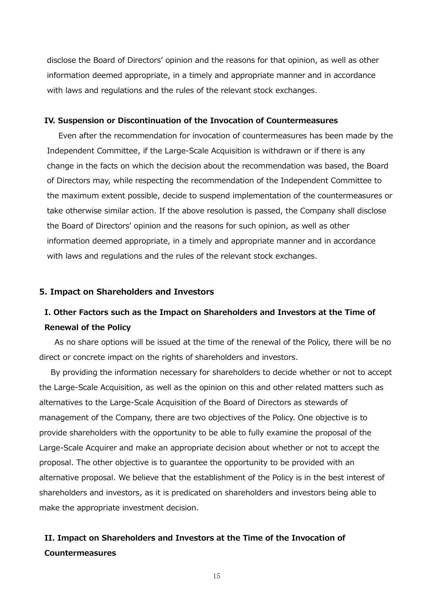disclose the Board of Directors' opinion and the reasons for that opinion, as well as other information deemed appropriate, in a timely and appropriate manner and in accordance with laws and regulations and the rules of the relevant stock exchanges.

### **IV. Suspension or Discontinuation of the Invocation of Countermeasures**

Even after the recommendation for invocation of countermeasures has been made by the Independent Committee, if the Large-Scale Acquisition is withdrawn or if there is any change in the facts on which the decision about the recommendation was based, the Board of Directors may, while respecting the recommendation of the Independent Committee to the maximum extent possible, decide to suspend implementation of the countermeasures or take otherwise similar action. If the above resolution is passed, the Company shall disclose the Board of Directors' opinion and the reasons for such opinion, as well as other information deemed appropriate, in a timely and appropriate manner and in accordance with laws and regulations and the rules of the relevant stock exchanges.

### **5. Impact on Shareholders and Investors**

# **I. Other Factors such as the Impact on Shareholders and Investors at the Time of Renewal of the Policy**

As no share options will be issued at the time of the renewal of the Policy, there will be no direct or concrete impact on the rights of shareholders and investors.

By providing the information necessary for shareholders to decide whether or not to accept the Large-Scale Acquisition, as well as the opinion on this and other related matters such as alternatives to the Large-Scale Acquisition of the Board of Directors as stewards of management of the Company, there are two objectives of the Policy. One objective is to provide shareholders with the opportunity to be able to fully examine the proposal of the Large-Scale Acquirer and make an appropriate decision about whether or not to accept the proposal. The other objective is to guarantee the opportunity to be provided with an alternative proposal. We believe that the establishment of the Policy is in the best interest of shareholders and investors, as it is predicated on shareholders and investors being able to make the appropriate investment decision.

# **II. Impact on Shareholders and Investors at the Time of the Invocation of Countermeasures**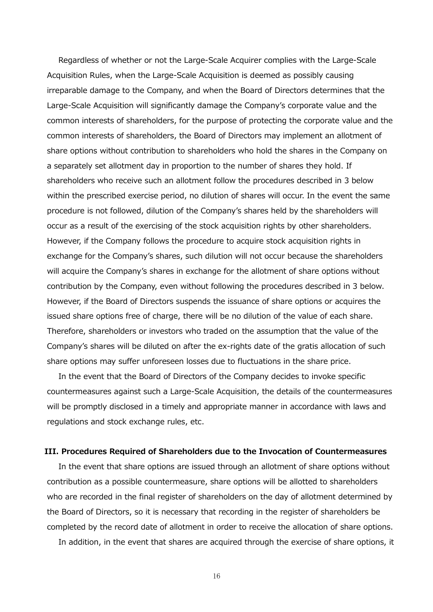Regardless of whether or not the Large-Scale Acquirer complies with the Large-Scale Acquisition Rules, when the Large-Scale Acquisition is deemed as possibly causing irreparable damage to the Company, and when the Board of Directors determines that the Large-Scale Acquisition will significantly damage the Company's corporate value and the common interests of shareholders, for the purpose of protecting the corporate value and the common interests of shareholders, the Board of Directors may implement an allotment of share options without contribution to shareholders who hold the shares in the Company on a separately set allotment day in proportion to the number of shares they hold. If shareholders who receive such an allotment follow the procedures described in 3 below within the prescribed exercise period, no dilution of shares will occur. In the event the same procedure is not followed, dilution of the Company's shares held by the shareholders will occur as a result of the exercising of the stock acquisition rights by other shareholders. However, if the Company follows the procedure to acquire stock acquisition rights in exchange for the Company's shares, such dilution will not occur because the shareholders will acquire the Company's shares in exchange for the allotment of share options without contribution by the Company, even without following the procedures described in 3 below. However, if the Board of Directors suspends the issuance of share options or acquires the issued share options free of charge, there will be no dilution of the value of each share. Therefore, shareholders or investors who traded on the assumption that the value of the Company's shares will be diluted on after the ex-rights date of the gratis allocation of such share options may suffer unforeseen losses due to fluctuations in the share price.

In the event that the Board of Directors of the Company decides to invoke specific countermeasures against such a Large-Scale Acquisition, the details of the countermeasures will be promptly disclosed in a timely and appropriate manner in accordance with laws and regulations and stock exchange rules, etc.

### **III. Procedures Required of Shareholders due to the Invocation of Countermeasures**

In the event that share options are issued through an allotment of share options without contribution as a possible countermeasure, share options will be allotted to shareholders who are recorded in the final register of shareholders on the day of allotment determined by the Board of Directors, so it is necessary that recording in the register of shareholders be completed by the record date of allotment in order to receive the allocation of share options.

In addition, in the event that shares are acquired through the exercise of share options, it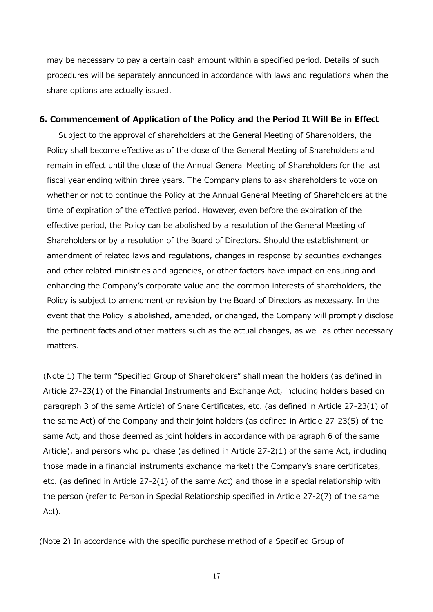may be necessary to pay a certain cash amount within a specified period. Details of such procedures will be separately announced in accordance with laws and regulations when the share options are actually issued.

### **6. Commencement of Application of the Policy and the Period It Will Be in Effect**

Subject to the approval of shareholders at the General Meeting of Shareholders, the Policy shall become effective as of the close of the General Meeting of Shareholders and remain in effect until the close of the Annual General Meeting of Shareholders for the last fiscal year ending within three years. The Company plans to ask shareholders to vote on whether or not to continue the Policy at the Annual General Meeting of Shareholders at the time of expiration of the effective period. However, even before the expiration of the effective period, the Policy can be abolished by a resolution of the General Meeting of Shareholders or by a resolution of the Board of Directors. Should the establishment or amendment of related laws and regulations, changes in response by securities exchanges and other related ministries and agencies, or other factors have impact on ensuring and enhancing the Company's corporate value and the common interests of shareholders, the Policy is subject to amendment or revision by the Board of Directors as necessary. In the event that the Policy is abolished, amended, or changed, the Company will promptly disclose the pertinent facts and other matters such as the actual changes, as well as other necessary matters.

(Note 1) The term "Specified Group of Shareholders" shall mean the holders (as defined in Article 27-23(1) of the Financial Instruments and Exchange Act, including holders based on paragraph 3 of the same Article) of Share Certificates, etc. (as defined in Article 27-23(1) of the same Act) of the Company and their joint holders (as defined in Article 27-23(5) of the same Act, and those deemed as joint holders in accordance with paragraph 6 of the same Article), and persons who purchase (as defined in Article 27-2(1) of the same Act, including those made in a financial instruments exchange market) the Company's share certificates, etc. (as defined in Article 27-2(1) of the same Act) and those in a special relationship with the person (refer to Person in Special Relationship specified in Article 27-2(7) of the same Act).

(Note 2) In accordance with the specific purchase method of a Specified Group of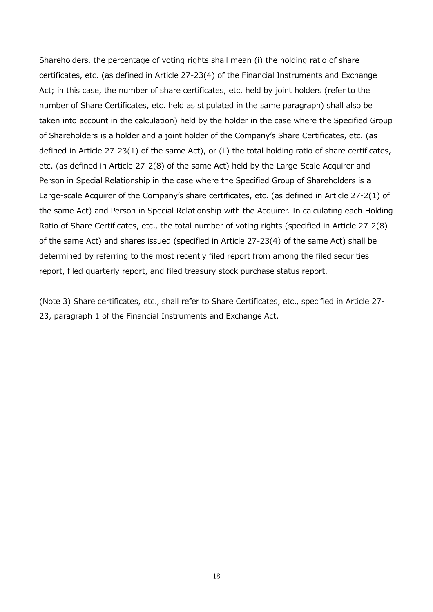Shareholders, the percentage of voting rights shall mean (i) the holding ratio of share certificates, etc. (as defined in Article 27-23(4) of the Financial Instruments and Exchange Act; in this case, the number of share certificates, etc. held by joint holders (refer to the number of Share Certificates, etc. held as stipulated in the same paragraph) shall also be taken into account in the calculation) held by the holder in the case where the Specified Group of Shareholders is a holder and a joint holder of the Company's Share Certificates, etc. (as defined in Article 27-23(1) of the same Act), or (ii) the total holding ratio of share certificates, etc. (as defined in Article 27-2(8) of the same Act) held by the Large-Scale Acquirer and Person in Special Relationship in the case where the Specified Group of Shareholders is a Large-scale Acquirer of the Company's share certificates, etc. (as defined in Article 27-2(1) of the same Act) and Person in Special Relationship with the Acquirer. In calculating each Holding Ratio of Share Certificates, etc., the total number of voting rights (specified in Article 27-2(8) of the same Act) and shares issued (specified in Article 27-23(4) of the same Act) shall be determined by referring to the most recently filed report from among the filed securities report, filed quarterly report, and filed treasury stock purchase status report.

(Note 3) Share certificates, etc., shall refer to Share Certificates, etc., specified in Article 27- 23, paragraph 1 of the Financial Instruments and Exchange Act.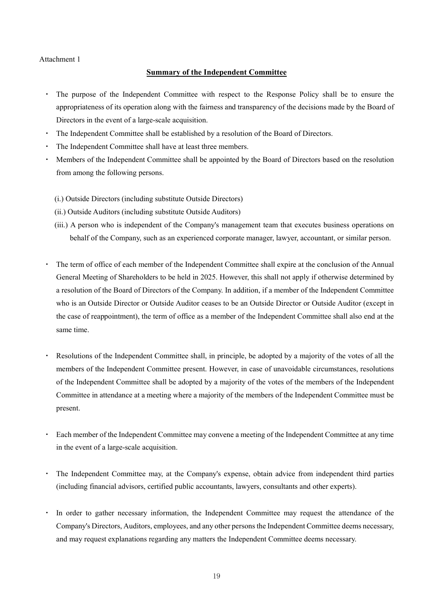### Attachment 1

### **Summary of the Independent Committee**

- The purpose of the Independent Committee with respect to the Response Policy shall be to ensure the appropriateness of its operation along with the fairness and transparency of the decisions made by the Board of Directors in the event of a large-scale acquisition.
- ・ The Independent Committee shall be established by a resolution of the Board of Directors.
- The Independent Committee shall have at least three members.
- Members of the Independent Committee shall be appointed by the Board of Directors based on the resolution from among the following persons.
	- (i.) Outside Directors (including substitute Outside Directors)
	- (ii.) Outside Auditors (including substitute Outside Auditors)
	- (iii.) A person who is independent of the Company's management team that executes business operations on behalf of the Company, such as an experienced corporate manager, lawyer, accountant, or similar person.
- The term of office of each member of the Independent Committee shall expire at the conclusion of the Annual General Meeting of Shareholders to be held in 2025. However, this shall not apply if otherwise determined by a resolution of the Board of Directors of the Company. In addition, if a member of the Independent Committee who is an Outside Director or Outside Auditor ceases to be an Outside Director or Outside Auditor (except in the case of reappointment), the term of office as a member of the Independent Committee shall also end at the same time.
- Resolutions of the Independent Committee shall, in principle, be adopted by a majority of the votes of all the members of the Independent Committee present. However, in case of unavoidable circumstances, resolutions of the Independent Committee shall be adopted by a majority of the votes of the members of the Independent Committee in attendance at a meeting where a majority of the members of the Independent Committee must be present.
- Each member of the Independent Committee may convene a meeting of the Independent Committee at any time in the event of a large-scale acquisition.
- The Independent Committee may, at the Company's expense, obtain advice from independent third parties (including financial advisors, certified public accountants, lawyers, consultants and other experts).
- In order to gather necessary information, the Independent Committee may request the attendance of the Company's Directors, Auditors, employees, and any other personsthe Independent Committee deems necessary, and may request explanations regarding any matters the Independent Committee deems necessary.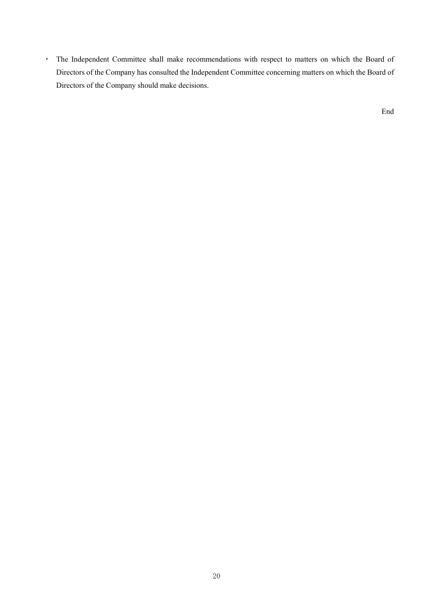・ The Independent Committee shall make recommendations with respect to matters on which the Board of Directors of the Company has consulted the Independent Committee concerning matters on which the Board of Directors of the Company should make decisions.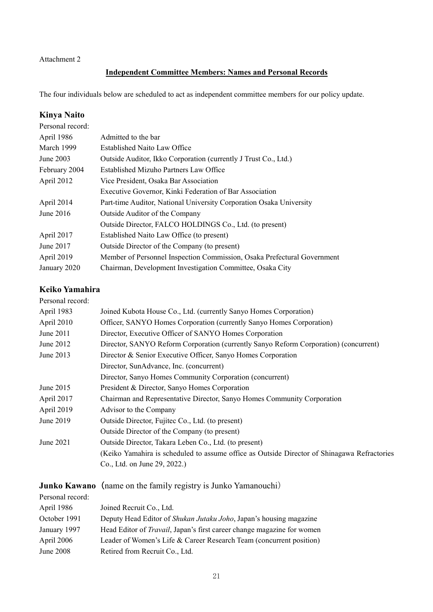## Attachment 2

# **Independent Committee Members: Names and Personal Records**

The four individuals below are scheduled to act as independent committee members for our policy update.

## **Kinya Naito**

| Personal record: |                                                                         |
|------------------|-------------------------------------------------------------------------|
| April 1986       | Admitted to the bar                                                     |
| March 1999       | <b>Established Naito Law Office</b>                                     |
| June 2003        | Outside Auditor, Ikko Corporation (currently J Trust Co., Ltd.)         |
| February 2004    | Established Mizuho Partners Law Office                                  |
| April 2012       | Vice President, Osaka Bar Association                                   |
|                  | Executive Governor, Kinki Federation of Bar Association                 |
| April 2014       | Part-time Auditor, National University Corporation Osaka University     |
| June $2016$      | Outside Auditor of the Company                                          |
|                  | Outside Director, FALCO HOLDINGS Co., Ltd. (to present)                 |
| April 2017       | Established Naito Law Office (to present)                               |
| June 2017        | Outside Director of the Company (to present)                            |
| April 2019       | Member of Personnel Inspection Commission, Osaka Prefectural Government |
| January 2020     | Chairman, Development Investigation Committee, Osaka City               |

## **Keiko Yamahira**

| Personal record: |                                                                                             |
|------------------|---------------------------------------------------------------------------------------------|
| April 1983       | Joined Kubota House Co., Ltd. (currently Sanyo Homes Corporation)                           |
| April 2010       | Officer, SANYO Homes Corporation (currently Sanyo Homes Corporation)                        |
| June $2011$      | Director, Executive Officer of SANYO Homes Corporation                                      |
| June 2012        | Director, SANYO Reform Corporation (currently Sanyo Reform Corporation) (concurrent)        |
| June 2013        | Director & Senior Executive Officer, Sanyo Homes Corporation                                |
|                  | Director, SunAdvance, Inc. (concurrent)                                                     |
|                  | Director, Sanyo Homes Community Corporation (concurrent)                                    |
| June 2015        | President & Director, Sanyo Homes Corporation                                               |
| April 2017       | Chairman and Representative Director, Sanyo Homes Community Corporation                     |
| April 2019       | Advisor to the Company                                                                      |
| June 2019        | Outside Director, Fujitec Co., Ltd. (to present)                                            |
|                  | Outside Director of the Company (to present)                                                |
| June 2021        | Outside Director, Takara Leben Co., Ltd. (to present)                                       |
|                  | (Keiko Yamahira is scheduled to assume office as Outside Director of Shinagawa Refractories |
|                  | Co., Ltd. on June 29, 2022.)                                                                |
|                  |                                                                                             |

| <b>Junko Kawano</b> (name on the family registry is Junko Yamanouchi) |
|-----------------------------------------------------------------------|
|                                                                       |

|                  | $\sigma$ anno two states on the family region $\mu$ to value tamanous $\mu$    |
|------------------|--------------------------------------------------------------------------------|
| Personal record: |                                                                                |
| April 1986       | Joined Recruit Co., Ltd.                                                       |
| October 1991     | Deputy Head Editor of Shukan Jutaku Joho, Japan's housing magazine             |
| January 1997     | Head Editor of <i>Travail</i> , Japan's first career change magazine for women |
| April 2006       | Leader of Women's Life & Career Research Team (concurrent position)            |
| June 2008        | Retired from Recruit Co., Ltd.                                                 |
|                  |                                                                                |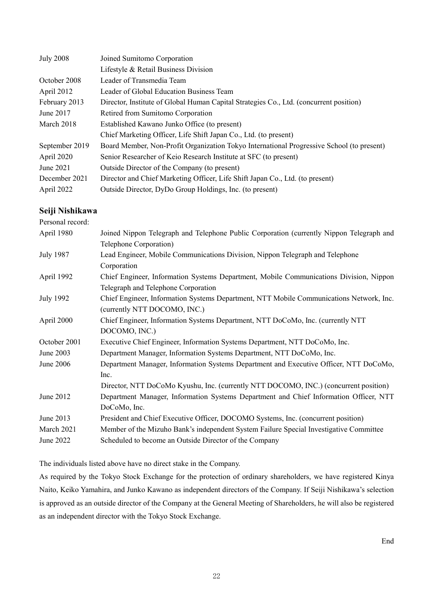| <b>July 2008</b> | Joined Sumitomo Corporation                                                               |
|------------------|-------------------------------------------------------------------------------------------|
|                  | Lifestyle & Retail Business Division                                                      |
| October 2008     | Leader of Transmedia Team                                                                 |
| April 2012       | Leader of Global Education Business Team                                                  |
| February 2013    | Director, Institute of Global Human Capital Strategies Co., Ltd. (concurrent position)    |
| June 2017        | Retired from Sumitomo Corporation                                                         |
| March 2018       | Established Kawano Junko Office (to present)                                              |
|                  | Chief Marketing Officer, Life Shift Japan Co., Ltd. (to present)                          |
| September 2019   | Board Member, Non-Profit Organization Tokyo International Progressive School (to present) |
| April 2020       | Senior Researcher of Keio Research Institute at SFC (to present)                          |
| June 2021        | Outside Director of the Company (to present)                                              |
| December 2021    | Director and Chief Marketing Officer, Life Shift Japan Co., Ltd. (to present)             |
| April 2022       | Outside Director, DyDo Group Holdings, Inc. (to present)                                  |

### **Seiji Nishikawa**

| Personal record: |                                                                                          |
|------------------|------------------------------------------------------------------------------------------|
| April 1980       | Joined Nippon Telegraph and Telephone Public Corporation (currently Nippon Telegraph and |
|                  | Telephone Corporation)                                                                   |
| <b>July 1987</b> | Lead Engineer, Mobile Communications Division, Nippon Telegraph and Telephone            |
|                  | Corporation                                                                              |
| April 1992       | Chief Engineer, Information Systems Department, Mobile Communications Division, Nippon   |
|                  | Telegraph and Telephone Corporation                                                      |
| <b>July 1992</b> | Chief Engineer, Information Systems Department, NTT Mobile Communications Network, Inc.  |
|                  | (currently NTT DOCOMO, INC.)                                                             |
| April 2000       | Chief Engineer, Information Systems Department, NTT DoCoMo, Inc. (currently NTT)         |
|                  | DOCOMO, INC.)                                                                            |
| October 2001     | Executive Chief Engineer, Information Systems Department, NTT DoCoMo, Inc.               |
| June 2003        | Department Manager, Information Systems Department, NTT DoCoMo, Inc.                     |
| June 2006        | Department Manager, Information Systems Department and Executive Officer, NTT DoCoMo,    |
|                  | Inc.                                                                                     |
|                  | Director, NTT DoCoMo Kyushu, Inc. (currently NTT DOCOMO, INC.) (concurrent position)     |
| June 2012        | Department Manager, Information Systems Department and Chief Information Officer, NTT    |
|                  | DoCoMo, Inc.                                                                             |
| June 2013        | President and Chief Executive Officer, DOCOMO Systems, Inc. (concurrent position)        |
| March 2021       | Member of the Mizuho Bank's independent System Failure Special Investigative Committee   |
| June 2022        | Scheduled to become an Outside Director of the Company                                   |
|                  |                                                                                          |

The individuals listed above have no direct stake in the Company.

As required by the Tokyo Stock Exchange for the protection of ordinary shareholders, we have registered Kinya Naito, Keiko Yamahira, and Junko Kawano as independent directors of the Company. If Seiji Nishikawa's selection is approved as an outside director of the Company at the General Meeting of Shareholders, he will also be registered as an independent director with the Tokyo Stock Exchange.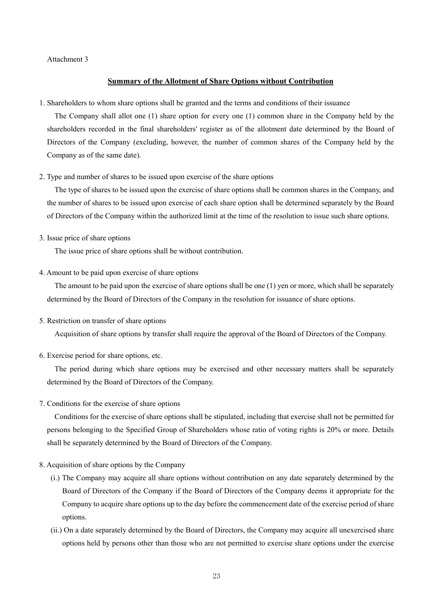### Attachment 3

#### **Summary of the Allotment of Share Options without Contribution**

1. Shareholders to whom share options shall be granted and the terms and conditions of their issuance

The Company shall allot one (1) share option for every one (1) common share in the Company held by the shareholders recorded in the final shareholders' register as of the allotment date determined by the Board of Directors of the Company (excluding, however, the number of common shares of the Company held by the Company as of the same date).

2. Type and number of shares to be issued upon exercise of the share options

The type of shares to be issued upon the exercise of share options shall be common shares in the Company, and the number of shares to be issued upon exercise of each share option shall be determined separately by the Board of Directors of the Company within the authorized limit at the time of the resolution to issue such share options.

3. Issue price of share options

The issue price of share options shall be without contribution.

4. Amount to be paid upon exercise of share options

The amount to be paid upon the exercise of share options shall be one (1) yen or more, which shall be separately determined by the Board of Directors of the Company in the resolution for issuance of share options.

5. Restriction on transfer of share options

Acquisition of share options by transfer shall require the approval of the Board of Directors of the Company.

6. Exercise period for share options, etc.

The period during which share options may be exercised and other necessary matters shall be separately determined by the Board of Directors of the Company.

7. Conditions for the exercise of share options

Conditions for the exercise of share options shall be stipulated, including that exercise shall not be permitted for persons belonging to the Specified Group of Shareholders whose ratio of voting rights is 20% or more. Details shall be separately determined by the Board of Directors of the Company.

- 8. Acquisition of share options by the Company
	- (i.) The Company may acquire all share options without contribution on any date separately determined by the Board of Directors of the Company if the Board of Directors of the Company deems it appropriate for the Company to acquire share options up to the day before the commencement date of the exercise period of share options.
	- (ii.) On a date separately determined by the Board of Directors, the Company may acquire all unexercised share options held by persons other than those who are not permitted to exercise share options under the exercise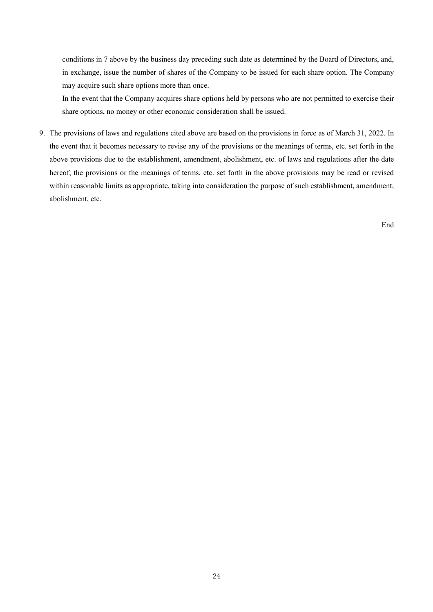conditions in 7 above by the business day preceding such date as determined by the Board of Directors, and, in exchange, issue the number of shares of the Company to be issued for each share option. The Company may acquire such share options more than once.

In the event that the Company acquires share options held by persons who are not permitted to exercise their share options, no money or other economic consideration shall be issued.

9. The provisions of laws and regulations cited above are based on the provisions in force as of March 31, 2022. In the event that it becomes necessary to revise any of the provisions or the meanings of terms, etc. set forth in the above provisions due to the establishment, amendment, abolishment, etc. of laws and regulations after the date hereof, the provisions or the meanings of terms, etc. set forth in the above provisions may be read or revised within reasonable limits as appropriate, taking into consideration the purpose of such establishment, amendment, abolishment, etc.